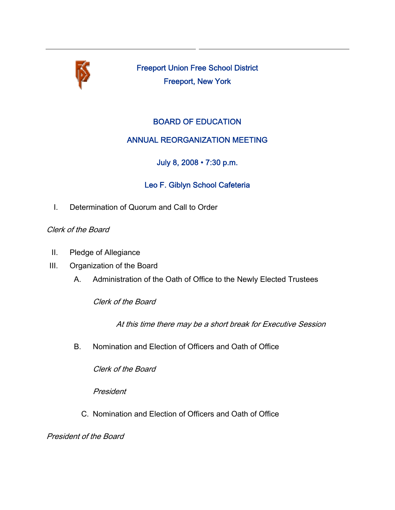

Freeport Union Free School District Freeport, New York

# BOARD OF EDUCATION

### ANNUAL REORGANIZATION MEETING

July 8, 2008 • 7:30 p.m.

# Leo F. Giblyn School Cafeteria

I. Determination of Quorum and Call to Order

#### Clerk of the Board

- II. Pledge of Allegiance
- III. Organization of the Board
	- A. Administration of the Oath of Office to the Newly Elected Trustees

Clerk of the Board

At this time there may be a short break for Executive Session

B. Nomination and Election of Officers and Oath of Office

Clerk of the Board

President

C. Nomination and Election of Officers and Oath of Office

President of the Board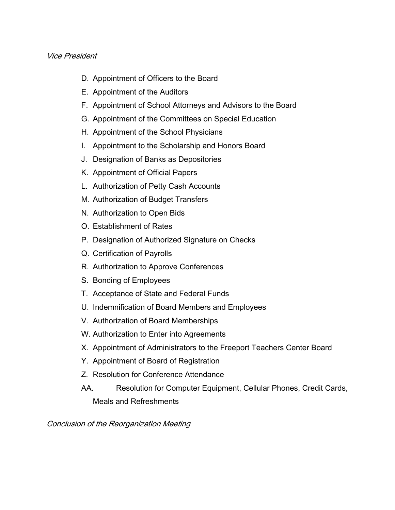#### Vice President

- D. Appointment of Officers to the Board
- E. Appointment of the Auditors
- F. Appointment of School Attorneys and Advisors to the Board
- G. Appointment of the Committees on Special Education
- H. Appointment of the School Physicians
- I. Appointment to the Scholarship and Honors Board
- J. Designation of Banks as Depositories
- K. Appointment of Official Papers
- L. Authorization of Petty Cash Accounts
- M. Authorization of Budget Transfers
- N. Authorization to Open Bids
- O. Establishment of Rates
- P. Designation of Authorized Signature on Checks
- Q. Certification of Payrolls
- R. Authorization to Approve Conferences
- S. Bonding of Employees
- T. Acceptance of State and Federal Funds
- U. Indemnification of Board Members and Employees
- V. Authorization of Board Memberships
- W. Authorization to Enter into Agreements
- X. Appointment of Administrators to the Freeport Teachers Center Board
- Y. Appointment of Board of Registration
- Z. Resolution for Conference Attendance
- AA. Resolution for Computer Equipment, Cellular Phones, Credit Cards, Meals and Refreshments

Conclusion of the Reorganization Meeting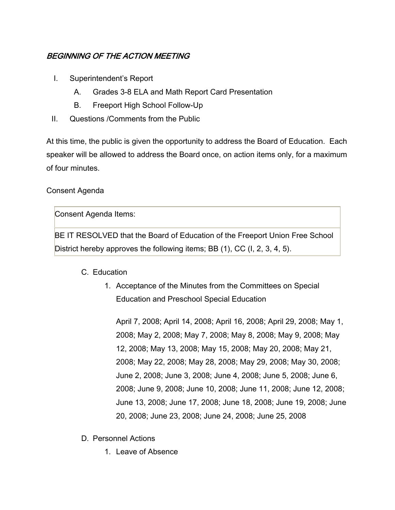# BEGINNING OF THE ACTION MEETING

- I. Superintendent's Report
	- A. Grades 3-8 ELA and Math Report Card Presentation
	- B. Freeport High School Follow-Up
- II. Questions /Comments from the Public

At this time, the public is given the opportunity to address the Board of Education. Each speaker will be allowed to address the Board once, on action items only, for a maximum of four minutes.

#### Consent Agenda

Consent Agenda Items:

BE IT RESOLVED that the Board of Education of the Freeport Union Free School District hereby approves the following items; BB (1), CC (I, 2, 3, 4, 5).

### C. Education

1. Acceptance of the Minutes from the Committees on Special Education and Preschool Special Education

April 7, 2008; April 14, 2008; April 16, 2008; April 29, 2008; May 1, 2008; May 2, 2008; May 7, 2008; May 8, 2008; May 9, 2008; May 12, 2008; May 13, 2008; May 15, 2008; May 20, 2008; May 21, 2008; May 22, 2008; May 28, 2008; May 29, 2008; May 30, 2008; June 2, 2008; June 3, 2008; June 4, 2008; June 5, 2008; June 6, 2008; June 9, 2008; June 10, 2008; June 11, 2008; June 12, 2008; June 13, 2008; June 17, 2008; June 18, 2008; June 19, 2008; June 20, 2008; June 23, 2008; June 24, 2008; June 25, 2008

- D. Personnel Actions
	- 1. Leave of Absence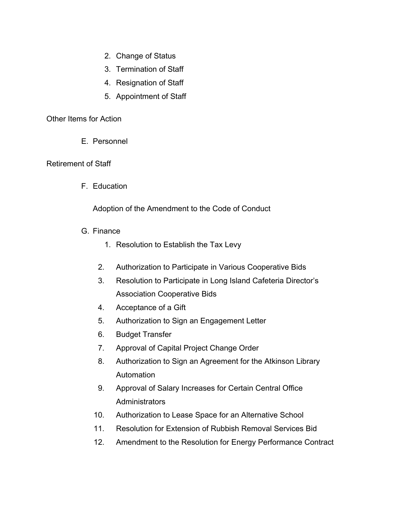- 2. Change of Status
- 3. Termination of Staff
- 4. Resignation of Staff
- 5. Appointment of Staff

#### Other Items for Action

E. Personnel

#### Retirement of Staff

F. Education

Adoption of the Amendment to the Code of Conduct

- G. Finance
	- 1. Resolution to Establish the Tax Levy
	- 2. Authorization to Participate in Various Cooperative Bids
	- 3. Resolution to Participate in Long Island Cafeteria Director's Association Cooperative Bids
	- 4. Acceptance of a Gift
	- 5. Authorization to Sign an Engagement Letter
	- 6. Budget Transfer
	- 7. Approval of Capital Project Change Order
	- 8. Authorization to Sign an Agreement for the Atkinson Library Automation
	- 9. Approval of Salary Increases for Certain Central Office **Administrators**
	- 10. Authorization to Lease Space for an Alternative School
	- 11. Resolution for Extension of Rubbish Removal Services Bid
	- 12. Amendment to the Resolution for Energy Performance Contract